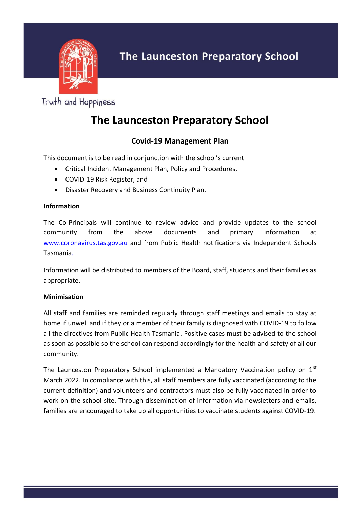

Truth and Happiness

# **The Launceston Preparatory School**

# **Covid-19 Management Plan**

This document is to be read in conjunction with the school's current

- Critical Incident Management Plan, Policy and Procedures,
- COVID-19 Risk Register, and
- Disaster Recovery and Business Continuity Plan.

#### **Information**

The Co-Principals will continue to review advice and provide updates to the school community from the above documents and primary information at [www.coronavirus.tas.gov.au](http://www.coronavirus.tas.gov.au/) and from Public Health notifications via Independent Schools Tasmania.

Information will be distributed to members of the Board, staff, students and their families as appropriate.

#### **Minimisation**

All staff and families are reminded regularly through staff meetings and emails to stay at home if unwell and if they or a member of their family is diagnosed with COVID-19 to follow all the directives from Public Health Tasmania. Positive cases must be advised to the school as soon as possible so the school can respond accordingly for the health and safety of all our community.

The Launceston Preparatory School implemented a Mandatory Vaccination policy on  $1<sup>st</sup>$ March 2022. In compliance with this, all staff members are fully vaccinated (according to the current definition) and volunteers and contractors must also be fully vaccinated in order to work on the school site. Through dissemination of information via newsletters and emails, families are encouraged to take up all opportunities to vaccinate students against COVID-19.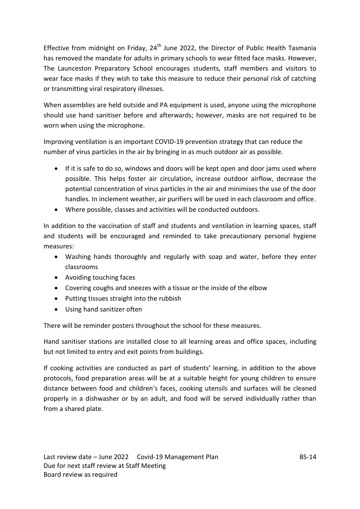Effective from midnight on Friday, 24<sup>th</sup> June 2022, the Director of Public Health Tasmania has removed the mandate for adults in primary schools to wear fitted face masks. However, The Launceston Preparatory School encourages students, staff members and visitors to wear face masks if they wish to take this measure to reduce their personal risk of catching or transmitting viral respiratory illnesses.

When assemblies are held outside and PA equipment is used, anyone using the microphone should use hand sanitiser before and afterwards; however, masks are not required to be worn when using the microphone.

Improving ventilation is an important COVID-19 prevention strategy that can reduce the number of virus particles in the air by bringing in as much outdoor air as possible.

- If it is safe to do so, windows and doors will be kept open and door jams used where possible. This helps foster air circulation, increase outdoor airflow, decrease the potential concentration of virus particles in the air and minimises the use of the door handles. In inclement weather, air purifiers will be used in each classroom and office.
- Where possible, classes and activities will be conducted outdoors.

In addition to the vaccination of staff and students and ventilation in learning spaces, staff and students will be encouraged and reminded to take precautionary personal hygiene measures:

- Washing hands thoroughly and regularly with soap and water, before they enter classrooms
- Avoiding touching faces
- Covering coughs and sneezes with a tissue or the inside of the elbow
- Putting tissues straight into the rubbish
- Using hand sanitizer often

There will be reminder posters throughout the school for these measures.

Hand sanitiser stations are installed close to all learning areas and office spaces, including but not limited to entry and exit points from buildings.

If cooking activities are conducted as part of students' learning, in addition to the above protocols, food preparation areas will be at a suitable height for young children to ensure distance between food and children's faces, cooking utensils and surfaces will be cleaned properly in a dishwasher or by an adult, and food will be served individually rather than from a shared plate.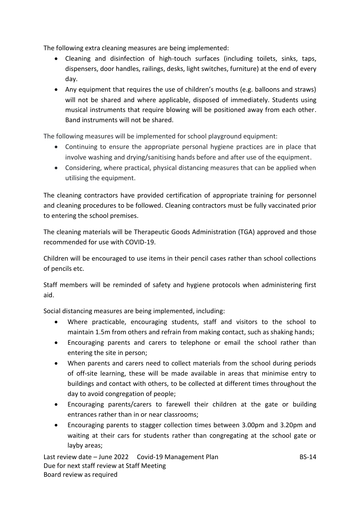The following extra cleaning measures are being implemented:

- Cleaning and disinfection of high-touch surfaces (including toilets, sinks, taps, dispensers, door handles, railings, desks, light switches, furniture) at the end of every day.
- Any equipment that requires the use of children's mouths (e.g. balloons and straws) will not be shared and where applicable, disposed of immediately. Students using musical instruments that require blowing will be positioned away from each other. Band instruments will not be shared.

The following measures will be implemented for school playground equipment:

- Continuing to ensure the appropriate personal hygiene practices are in place that involve washing and drying/sanitising hands before and after use of the equipment.
- Considering, where practical, physical distancing measures that can be applied when utilising the equipment.

The cleaning contractors have provided certification of appropriate training for personnel and cleaning procedures to be followed. Cleaning contractors must be fully vaccinated prior to entering the school premises.

The cleaning materials will be Therapeutic Goods Administration (TGA) approved and those recommended for use with COVID-19.

Children will be encouraged to use items in their pencil cases rather than school collections of pencils etc.

Staff members will be reminded of safety and hygiene protocols when administering first aid.

Social distancing measures are being implemented, including:

- Where practicable, encouraging students, staff and visitors to the school to maintain 1.5m from others and refrain from making contact, such as shaking hands;
- Encouraging parents and carers to telephone or email the school rather than entering the site in person;
- When parents and carers need to collect materials from the school during periods of off-site learning, these will be made available in areas that minimise entry to buildings and contact with others, to be collected at different times throughout the day to avoid congregation of people;
- Encouraging parents/carers to farewell their children at the gate or building entrances rather than in or near classrooms;
- Encouraging parents to stagger collection times between 3.00pm and 3.20pm and waiting at their cars for students rather than congregating at the school gate or layby areas;

Last review date – June 2022 Covid-19 Management Plan Due for next staff review at Staff Meeting Board review as required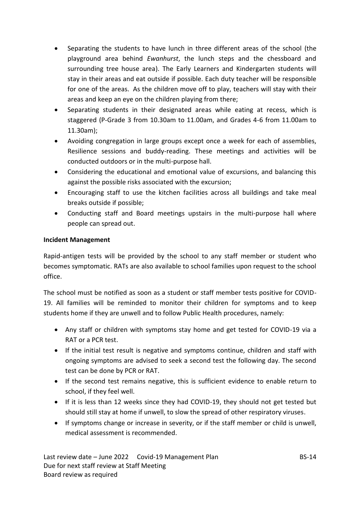- Separating the students to have lunch in three different areas of the school (the playground area behind *Ewanhurst*, the lunch steps and the chessboard and surrounding tree house area). The Early Learners and Kindergarten students will stay in their areas and eat outside if possible. Each duty teacher will be responsible for one of the areas. As the children move off to play, teachers will stay with their areas and keep an eye on the children playing from there;
- Separating students in their designated areas while eating at recess, which is staggered (P-Grade 3 from 10.30am to 11.00am, and Grades 4-6 from 11.00am to 11.30am);
- Avoiding congregation in large groups except once a week for each of assemblies, Resilience sessions and buddy-reading. These meetings and activities will be conducted outdoors or in the multi-purpose hall.
- Considering the educational and emotional value of excursions, and balancing this against the possible risks associated with the excursion;
- Encouraging staff to use the kitchen facilities across all buildings and take meal breaks outside if possible;
- Conducting staff and Board meetings upstairs in the multi-purpose hall where people can spread out.

## **Incident Management**

Rapid-antigen tests will be provided by the school to any staff member or student who becomes symptomatic. RATs are also available to school families upon request to the school office.

The school must be notified as soon as a student or staff member tests positive for COVID-19. All families will be reminded to monitor their children for symptoms and to keep students home if they are unwell and to follow Public Health procedures, namely:

- Any staff or children with symptoms stay home and get tested for COVID-19 via a RAT or a PCR test.
- If the initial test result is negative and symptoms continue, children and staff with ongoing symptoms are advised to seek a second test the following day. The second test can be done by PCR or RAT.
- If the second test remains negative, this is sufficient evidence to enable return to school, if they feel well.
- If it is less than 12 weeks since they had COVID-19, they should not get tested but should still stay at home if unwell, to slow the spread of other respiratory viruses.
- If symptoms change or increase in severity, or if the staff member or child is unwell, medical assessment is recommended.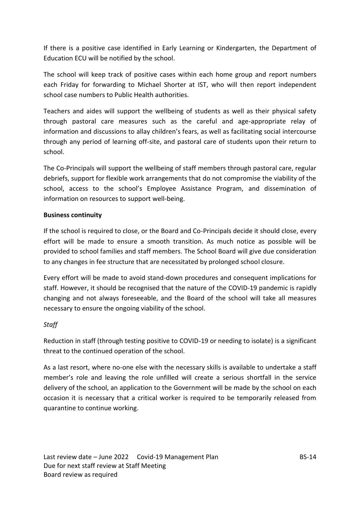If there is a positive case identified in Early Learning or Kindergarten, the Department of Education ECU will be notified by the school.

The school will keep track of positive cases within each home group and report numbers each Friday for forwarding to Michael Shorter at IST, who will then report independent school case numbers to Public Health authorities.

Teachers and aides will support the wellbeing of students as well as their physical safety through pastoral care measures such as the careful and age-appropriate relay of information and discussions to allay children's fears, as well as facilitating social intercourse through any period of learning off-site, and pastoral care of students upon their return to school.

The Co-Principals will support the wellbeing of staff members through pastoral care, regular debriefs, support for flexible work arrangements that do not compromise the viability of the school, access to the school's Employee Assistance Program, and dissemination of information on resources to support well-being.

## **Business continuity**

If the school is required to close, or the Board and Co-Principals decide it should close, every effort will be made to ensure a smooth transition. As much notice as possible will be provided to school families and staff members. The School Board will give due consideration to any changes in fee structure that are necessitated by prolonged school closure.

Every effort will be made to avoid stand-down procedures and consequent implications for staff. However, it should be recognised that the nature of the COVID-19 pandemic is rapidly changing and not always foreseeable, and the Board of the school will take all measures necessary to ensure the ongoing viability of the school.

## *Staff*

Reduction in staff (through testing positive to COVID-19 or needing to isolate) is a significant threat to the continued operation of the school.

As a last resort, where no-one else with the necessary skills is available to undertake a staff member's role and leaving the role unfilled will create a serious shortfall in the service delivery of the school, an application to the Government will be made by the school on each occasion it is necessary that a critical worker is required to be temporarily released from quarantine to continue working.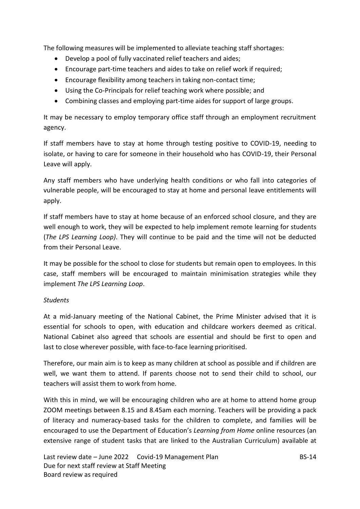The following measures will be implemented to alleviate teaching staff shortages:

- Develop a pool of fully vaccinated relief teachers and aides;
- Encourage part-time teachers and aides to take on relief work if required;
- Encourage flexibility among teachers in taking non-contact time;
- Using the Co-Principals for relief teaching work where possible; and
- Combining classes and employing part-time aides for support of large groups.

It may be necessary to employ temporary office staff through an employment recruitment agency.

If staff members have to stay at home through testing positive to COVID-19, needing to isolate, or having to care for someone in their household who has COVID-19, their Personal Leave will apply.

Any staff members who have underlying health conditions or who fall into categories of vulnerable people, will be encouraged to stay at home and personal leave entitlements will apply.

If staff members have to stay at home because of an enforced school closure, and they are well enough to work, they will be expected to help implement remote learning for students (*The LPS Learning Loop)*. They will continue to be paid and the time will not be deducted from their Personal Leave.

It may be possible for the school to close for students but remain open to employees. In this case, staff members will be encouraged to maintain minimisation strategies while they implement *The LPS Learning Loop*.

# *Students*

At a mid-January meeting of the National Cabinet, the Prime Minister advised that it is essential for schools to open, with education and childcare workers deemed as critical. National Cabinet also agreed that schools are essential and should be first to open and last to close wherever possible, with face-to-face learning prioritised.

Therefore, our main aim is to keep as many children at school as possible and if children are well, we want them to attend. If parents choose not to send their child to school, our teachers will assist them to work from home.

With this in mind, we will be encouraging children who are at home to attend home group ZOOM meetings between 8.15 and 8.45am each morning. Teachers will be providing a pack of literacy and numeracy-based tasks for the children to complete, and families will be encouraged to use the Department of Education's *Learning from Home* online resources (an extensive range of student tasks that are linked to the Australian Curriculum) available at

Last review date – June 2022 Covid-19 Management Plan BS-14 Due for next staff review at Staff Meeting Board review as required